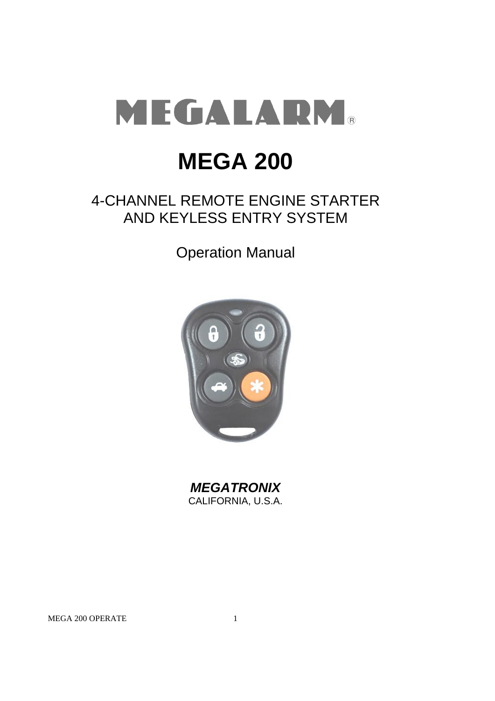

# **MEGA 200**

### 4-CHANNEL REMOTE ENGINE STARTER AND KEYLESS ENTRY SYSTEM

Operation Manual



*MEGATRONIX* CALIFORNIA, U.S.A.

MEGA 200 OPERATE 1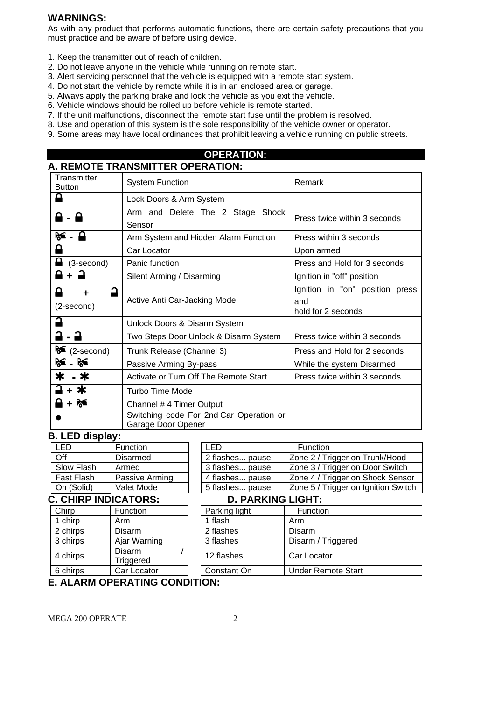#### **WARNINGS:**

As with any product that performs automatic functions, there are certain safety precautions that you must practice and be aware of before using device.

- 1. Keep the transmitter out of reach of children.
- 2. Do not leave anyone in the vehicle while running on remote start.
- 3. Alert servicing personnel that the vehicle is equipped with a remote start system.
- 4. Do not start the vehicle by remote while it is in an enclosed area or garage.
- 5. Always apply the parking brake and lock the vehicle as you exit the vehicle.
- 6. Vehicle windows should be rolled up before vehicle is remote started.
- 7. If the unit malfunctions, disconnect the remote start fuse until the problem is resolved.
- 8. Use and operation of this system is the sole responsibility of the vehicle owner or operator.
- 9. Some areas may have local ordinances that prohibit leaving a vehicle running on public streets.

#### **OPERATION: A. REMOTE TRANSMITTER OPERATION:**

| Transmitter<br><b>Button</b> | <b>System Function</b>                                        | Remark                                                       |  |  |
|------------------------------|---------------------------------------------------------------|--------------------------------------------------------------|--|--|
|                              | Lock Doors & Arm System                                       |                                                              |  |  |
| А                            | Arm and Delete The 2 Stage Shock<br>Sensor                    | Press twice within 3 seconds                                 |  |  |
| ‰ - ⊟                        | Arm System and Hidden Alarm Function                          | Press within 3 seconds                                       |  |  |
|                              | Car Locator                                                   | Upon armed                                                   |  |  |
| (3-second)                   | Panic function                                                | Press and Hold for 3 seconds                                 |  |  |
|                              | Silent Arming / Disarming                                     | Ignition in "off" position                                   |  |  |
| (2-second)                   | Active Anti Car-Jacking Mode                                  | Ignition in "on" position press<br>and<br>hold for 2 seconds |  |  |
|                              | Unlock Doors & Disarm System                                  |                                                              |  |  |
|                              | Two Steps Door Unlock & Disarm System                         | Press twice within 3 seconds                                 |  |  |
| ≽<br>(2-second)              | Trunk Release (Channel 3)                                     | Press and Hold for 2 seconds                                 |  |  |
| ≽∕ਨ<br>ਲ≤                    | Passive Arming By-pass                                        | While the system Disarmed                                    |  |  |
| - 米                          | Activate or Turn Off The Remote Start                         | Press twice within 3 seconds                                 |  |  |
| ∗                            | <b>Turbo Time Mode</b>                                        |                                                              |  |  |
| $\blacksquare$ + $\clubsuit$ | Channel # 4 Timer Output                                      |                                                              |  |  |
|                              | Switching code For 2nd Car Operation or<br>Garage Door Opener |                                                              |  |  |

#### **B. LED display:**

| I FD              | Function       |  |  |
|-------------------|----------------|--|--|
| ∩ff               | Disarmed       |  |  |
| Slow Flash        | Armed          |  |  |
| <b>Fast Flash</b> | Passive Arming |  |  |
| On (Solid)        | Valet Mode     |  |  |

#### LED **Function** Off **Disarmed** 2 flashes... pause 2 / Trigger on Trunk/Hood Slow Flash Armed 1 3 flashes... pause 2 one 3 / Trigger on Door Switch Fast Flash | Passive Arming | | 4 flashes... pause | Zone 4 / Trigger on Shock Sensor On (Solid) | Valet Mode | | 5 flashes... pause | Zone 5 / Trigger on Ignition Switch

#### **C. CHIRP INDICATORS:**

| <b>Chirp</b> | Function            |  | Parking light | Func   |  |
|--------------|---------------------|--|---------------|--------|--|
| 1 chirp      | Arm                 |  | 1 flash       | Arm    |  |
| 2 chirps     | Disarm              |  | 2 flashes     | Disarm |  |
| 3 chirps     | Ajar Warning        |  | 3 flashes     | Disarm |  |
| 4 chirps     | Disarm<br>Triggered |  | 12 flashes    | Car Lo |  |
| 6 chirps     | Car Locator         |  | Constant On   | Under  |  |
|              |                     |  |               |        |  |

| 2 flashes pause          | Zone 2 / Trigger on Trunk/Hood      |  |  |
|--------------------------|-------------------------------------|--|--|
| 3 flashes pause          | Zone 3 / Trigger on Door Switch     |  |  |
| 4 flashes pause          | Zone 4 / Trigger on Shock Sensor    |  |  |
| 5 flashes pause          | Zone 5 / Trigger on Ignition Switch |  |  |
| <b>D. PARKING LIGHT:</b> |                                     |  |  |
| Parking light            | Function                            |  |  |

## | Parking light | Function

| 1 chirp  | Arm                        | 1 flash     | Arm                |
|----------|----------------------------|-------------|--------------------|
| 2 chirps | Disarm                     | 2 flashes   | Disarm             |
| 3 chirps | Ajar Warning               | 3 flashes   | Disarm / Triggered |
| 4 chirps | <b>Disarm</b><br>Triggered | 12 flashes  | Car Locator        |
| 6 chirps | Car Locator                | Constant On | Under Remote Start |
|          |                            |             |                    |

#### **E. ALARM OPERATING CONDITION:**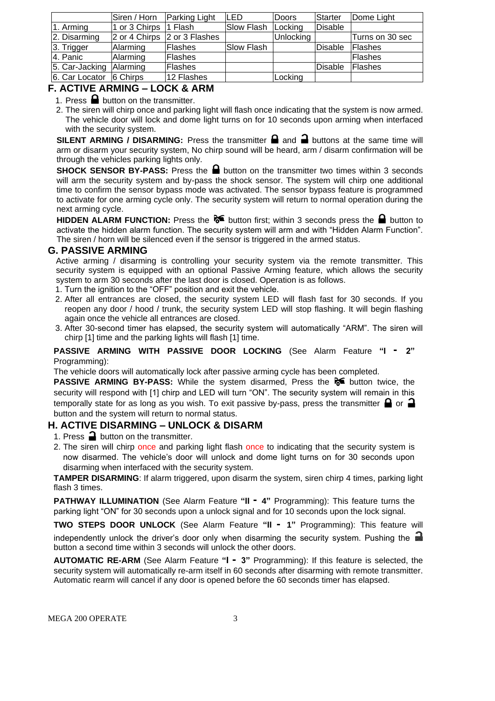|                               | Siren / Horn  | <b>Parking Light</b>         | LED        | Doors     | Starter | Dome Light      |
|-------------------------------|---------------|------------------------------|------------|-----------|---------|-----------------|
| 1. Arming                     | 1 or 3 Chirps | $\vert$ 1 Flash              | Slow Flash | Locking   | Disable |                 |
| 2. Disarming                  |               | 2 or 4 Chirps 2 or 3 Flashes |            | Unlocking |         | Turns on 30 sec |
| 3. Trigger                    | Alarming      | <b>Flashes</b>               | Slow Flash |           | Disable | Flashes         |
| 4. Panic                      | Alarming      | Flashes                      |            |           |         | <b>IFlashes</b> |
| 5. Car-Jacking Alarming       |               | <b>Flashes</b>               |            |           | Disable | <b>IFlashes</b> |
| $ 6.$ Car Locator $ 6$ Chirps |               | 12 Flashes                   |            | Locking   |         |                 |

#### **F. ACTIVE ARMING – LOCK & ARM**

1. Press  $\blacksquare$  button on the transmitter.

2. The siren will chirp once and parking light will flash once indicating that the system is now armed. The vehicle door will lock and dome light turns on for 10 seconds upon arming when interfaced with the security system.

**SILENT ARMING / DISARMING:** Press the transmitter  $\blacksquare$  and  $\blacksquare$  buttons at the same time will arm or disarm your security system, No chirp sound will be heard, arm / disarm confirmation will be through the vehicles parking lights only.

**SHOCK SENSOR BY-PASS:** Press the **a** button on the transmitter two times within 3 seconds will arm the security system and by-pass the shock sensor. The system will chirp one additional time to confirm the sensor bypass mode was activated. The sensor bypass feature is programmed to activate for one arming cycle only. The security system will return to normal operation during the next arming cycle.

**HIDDEN ALARM FUNCTION:** Press the  $\delta$  button first; within 3 seconds press the **button to** activate the hidden alarm function. The security system will arm and with "Hidden Alarm Function". The siren / horn will be silenced even if the sensor is triggered in the armed status.

#### **G. PASSIVE ARMING**

Active arming / disarming is controlling your security system via the remote transmitter. This security system is equipped with an optional Passive Arming feature, which allows the security system to arm 30 seconds after the last door is closed. Operation is as follows.

- 1. Turn the ignition to the "OFF" position and exit the vehicle.
- 2. After all entrances are closed, the security system LED will flash fast for 30 seconds. If you reopen any door / hood / trunk, the security system LED will stop flashing. It will begin flashing again once the vehicle all entrances are closed.
- 3. After 30-second timer has elapsed, the security system will automatically "ARM". The siren will chirp [1] time and the parking lights will flash [1] time.

#### **PASSIVE ARMING WITH PASSIVE DOOR LOCKING** (See Alarm Feature **"I - 2"**  Programming):

The vehicle doors will automatically lock after passive arming cycle has been completed.

**PASSIVE ARMING BY-PASS:** While the system disarmed, Press the **button twice**, the security will respond with [1] chirp and LED will turn "ON". The security system will remain in this temporally state for as long as you wish. To exit passive by-pass, press the transmitter  $\bigoplus$  or  $\bigoplus$ button and the system will return to normal status.

#### **H. ACTIVE DISARMING – UNLOCK & DISARM**

- 1. Press  $\rightarrow$  button on the transmitter.
- 2. The siren will chirp once and parking light flash once to indicating that the security system is now disarmed. The vehicle's door will unlock and dome light turns on for 30 seconds upon disarming when interfaced with the security system.

**TAMPER DISARMING**: If alarm triggered, upon disarm the system, siren chirp 4 times, parking light flash 3 times.

**PATHWAY ILLUMINATION** (See Alarm Feature **"II - 4"** Programming): This feature turns the parking light "ON" for 30 seconds upon a unlock signal and for 10 seconds upon the lock signal.

**TWO STEPS DOOR UNLOCK** (See Alarm Feature **"II - 1"** Programming): This feature will independently unlock the driver's door only when disarming the security system. Pushing the button a second time within 3 seconds will unlock the other doors.

**AUTOMATIC RE-ARM** (See Alarm Feature **"I - 3"** Programming): If this feature is selected, the security system will automatically re-arm itself in 60 seconds after disarming with remote transmitter. Automatic rearm will cancel if any door is opened before the 60 seconds timer has elapsed.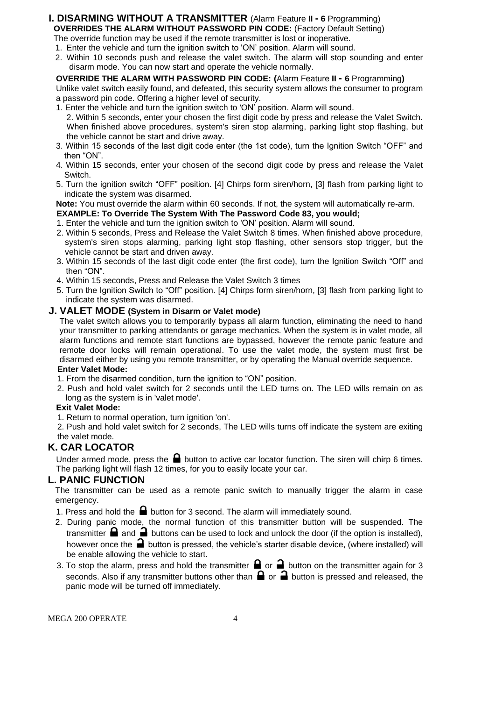#### **I. DISARMING WITHOUT A TRANSMITTER** (Alarm Feature **II - 6** Programming) **OVERRIDES THE ALARM WITHOUT PASSWORD PIN CODE:** (Factory Default Setting)

The override function may be used if the remote transmitter is lost or inoperative. 1. Enter the vehicle and turn the ignition switch to 'ON' position. Alarm will sound.

2. Within 10 seconds push and release the valet switch. The alarm will stop sounding and enter disarm mode. You can now start and operate the vehicle normally.

#### **OVERRIDE THE ALARM WITH PASSWORD PIN CODE: (**Alarm Feature **II - 6** Programming**)** Unlike valet switch easily found, and defeated, this security system allows the consumer to program

- a password pin code. Offering a higher level of security. 1. Enter the vehicle and turn the ignition switch to 'ON' position. Alarm will sound.
- 2. Within 5 seconds, enter your chosen the first digit code by press and release the Valet Switch. When finished above procedures, system's siren stop alarming, parking light stop flashing, but the vehicle cannot be start and drive away.
- 3. Within 15 seconds of the last digit code enter (the 1st code), turn the Ignition Switch "OFF" and then "ON".
- 4. Within 15 seconds, enter your chosen of the second digit code by press and release the Valet Switch.
- 5. Turn the ignition switch "OFF" position. [4] Chirps form siren/horn, [3] flash from parking light to indicate the system was disarmed.

**Note:** You must override the alarm within 60 seconds. If not, the system will automatically re-arm.

- **EXAMPLE: To Override The System With The Password Code 83, you would;**
- 1. Enter the vehicle and turn the ignition switch to 'ON' position. Alarm will sound.
- 2. Within 5 seconds, Press and Release the Valet Switch 8 times. When finished above procedure, system's siren stops alarming, parking light stop flashing, other sensors stop trigger, but the vehicle cannot be start and driven away.
- 3. Within 15 seconds of the last digit code enter (the first code), turn the Ignition Switch "Off" and then "ON".
- 4. Within 15 seconds, Press and Release the Valet Switch 3 times
- 5. Turn the Ignition Switch to "Off" position. [4] Chirps form siren/horn, [3] flash from parking light to indicate the system was disarmed.

#### **J. VALET MODE (System in Disarm or Valet mode)**

The valet switch allows you to temporarily bypass all alarm function, eliminating the need to hand your transmitter to parking attendants or garage mechanics. When the system is in valet mode, all alarm functions and remote start functions are bypassed, however the remote panic feature and remote door locks will remain operational. To use the valet mode, the system must first be disarmed either by using you remote transmitter, or by operating the Manual override sequence.

#### **Enter Valet Mode:**

- 1. From the disarmed condition, turn the ignition to "ON" position.
- 2. Push and hold valet switch for 2 seconds until the LED turns on. The LED wills remain on as long as the system is in 'valet mode'.

#### **Exit Valet Mode:**

1. Return to normal operation, turn ignition 'on'.

2. Push and hold valet switch for 2 seconds, The LED wills turns off indicate the system are exiting the valet mode.

#### **K. CAR LOCATOR**

Under armed mode, press the  $\blacksquare$  button to active car locator function. The siren will chirp 6 times. The parking light will flash 12 times, for you to easily locate your car.

#### **L. PANIC FUNCTION**

The transmitter can be used as a remote panic switch to manually trigger the alarm in case emergency.

- 1. Press and hold the  $\blacksquare$  button for 3 second. The alarm will immediately sound.
- 2. During panic mode, the normal function of this transmitter button will be suspended. The transmitter  $\blacksquare$  and  $\blacksquare$  buttons can be used to lock and unlock the door (if the option is installed), however once the  $\Box$  button is pressed, the vehicle's starter disable device, (where installed) will be enable allowing the vehicle to start.
- 3. To stop the alarm, press and hold the transmitter  $\Box$  or  $\Box$  button on the transmitter again for 3 seconds. Also if any transmitter buttons other than  $\bigoplus$  or  $\bigoplus$  button is pressed and released, the panic mode will be turned off immediately.

MEGA 200 OPERATE 4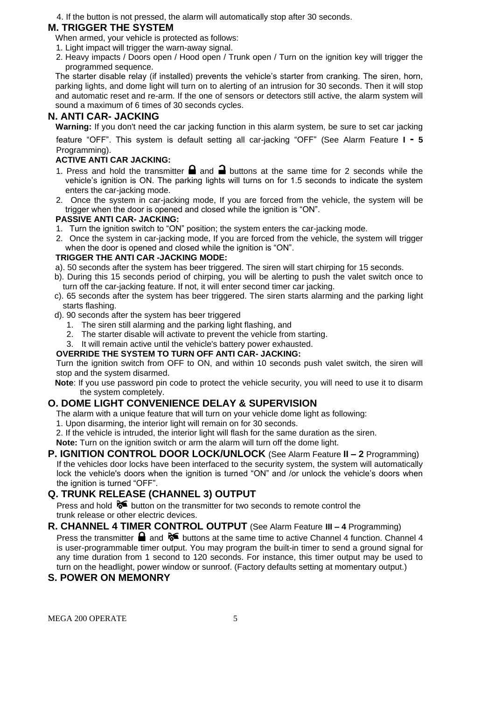4. If the button is not pressed, the alarm will automatically stop after 30 seconds.

#### **M. TRIGGER THE SYSTEM**

- When armed, your vehicle is protected as follows:
- 1. Light impact will trigger the warn-away signal.
- 2. Heavy impacts / Doors open / Hood open / Trunk open / Turn on the ignition key will trigger the programmed sequence.

The starter disable relay (if installed) prevents the vehicle's starter from cranking. The siren, horn, parking lights, and dome light will turn on to alerting of an intrusion for 30 seconds. Then it will stop and automatic reset and re-arm. If the one of sensors or detectors still active, the alarm system will sound a maximum of 6 times of 30 seconds cycles.

#### **N. ANTI CAR- JACKING**

**Warning:** If you don't need the car jacking function in this alarm system, be sure to set car jacking

feature "OFF". This system is default setting all car-jacking "OFF" (See Alarm Feature **I - 5**  Programming).

#### **ACTIVE ANTI CAR JACKING:**

- 1. Press and hold the transmitter  $\blacksquare$  and  $\blacksquare$  buttons at the same time for 2 seconds while the vehicle's ignition is ON. The parking lights will turns on for 1.5 seconds to indicate the system enters the car-jacking mode.
- 2. Once the system in car-jacking mode, If you are forced from the vehicle, the system will be trigger when the door is opened and closed while the ignition is "ON".

#### **PASSIVE ANTI CAR- JACKING:**

- 1. Turn the ignition switch to "ON" position; the system enters the car-jacking mode.
- 2. Once the system in car-jacking mode, If you are forced from the vehicle, the system will trigger when the door is opened and closed while the ignition is "ON".

#### **TRIGGER THE ANTI CAR -JACKING MODE:**

- a). 50 seconds after the system has beer triggered. The siren will start chirping for 15 seconds.
- b). During this 15 seconds period of chirping, you will be alerting to push the valet switch once to turn off the car-jacking feature. If not, it will enter second timer car jacking.
- c). 65 seconds after the system has beer triggered. The siren starts alarming and the parking light starts flashing.
- d). 90 seconds after the system has beer triggered
	- 1. The siren still alarming and the parking light flashing, and
	- 2. The starter disable will activate to prevent the vehicle from starting.
	- 3. It will remain active until the vehicle's battery power exhausted.

#### **OVERRIDE THE SYSTEM TO TURN OFF ANTI CAR- JACKING:**

Turn the ignition switch from OFF to ON, and within 10 seconds push valet switch, the siren will stop and the system disarmed.

**Note**: If you use password pin code to protect the vehicle security, you will need to use it to disarm the system completely.

#### **O. DOME LIGHT CONVENIENCE DELAY & SUPERVISION**

The alarm with a unique feature that will turn on your vehicle dome light as following:

- 1. Upon disarming, the interior light will remain on for 30 seconds.
- 2. If the vehicle is intruded, the interior light will flash for the same duration as the siren.

**Note:** Turn on the ignition switch or arm the alarm will turn off the dome light.

**P. IGNITION CONTROL DOOR LOCK/UNLOCK** (See Alarm Feature **II – 2** Programming) If the vehicles door locks have been interfaced to the security system, the system will automatically lock the vehicle's doors when the ignition is turned "ON" and /or unlock the vehicle's doors when the ignition is turned "OFF".

#### **Q. TRUNK RELEASE (CHANNEL 3) OUTPUT**

Press and hold  $\delta$  button on the transmitter for two seconds to remote control the trunk release or other electric devices.

**R. CHANNEL 4 TIMER CONTROL OUTPUT** (See Alarm Feature **III – 4** Programming) Press the transmitter  $\blacksquare$  and  $\blacklozenge \blacksquare$  buttons at the same time to active Channel 4 function. Channel 4 is user-programmable timer output. You may program the built-in timer to send a ground signal for any time duration from 1 second to 120 seconds. For instance, this timer output may be used to turn on the headlight, power window or sunroof. (Factory defaults setting at momentary output.)

#### **S. POWER ON MEMONRY**

MEGA 200 OPERATE 5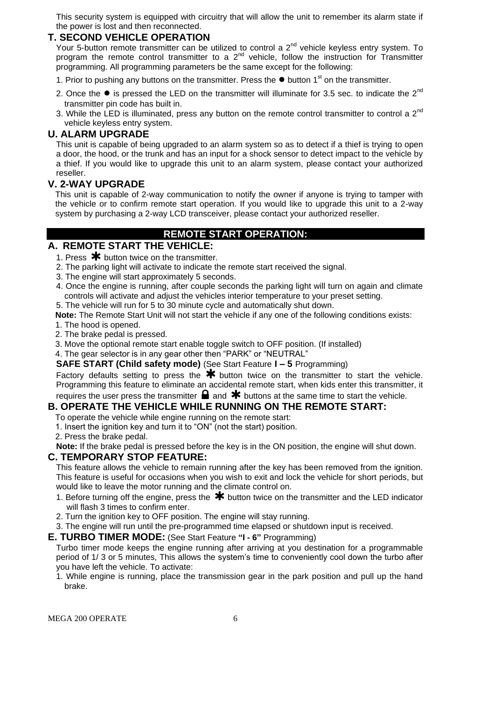This security system is equipped with circuitry that will allow the unit to remember its alarm state if the power is lost and then reconnected.

#### **T. SECOND VEHICLE OPERATION**

Your 5-button remote transmitter can be utilized to control a  $2^{nd}$  vehicle keyless entry system. To program the remote control transmitter to a  $2^{nd}$  vehicle, follow the instruction for Transmitter programming. All programming parameters be the same except for the following:

1. Prior to pushing any buttons on the transmitter. Press the **●** button 1st on the transmitter.

- 2. Once the  $\bullet$  is pressed the LED on the transmitter will illuminate for 3.5 sec. to indicate the  $2^{nd}$ transmitter pin code has built in.
- 3. While the LED is illuminated, press any button on the remote control transmitter to control a  $2^{nd}$ vehicle keyless entry system.

#### **U. ALARM UPGRADE**

This unit is capable of being upgraded to an alarm system so as to detect if a thief is trying to open a door, the hood, or the trunk and has an input for a shock sensor to detect impact to the vehicle by a thief. If you would like to upgrade this unit to an alarm system, please contact your authorized reseller.

#### **V. 2-WAY UPGRADE**

This unit is capable of 2-way communication to notify the owner if anyone is trying to tamper with the vehicle or to confirm remote start operation. If you would like to upgrade this unit to a 2-way system by purchasing a 2-way LCD transceiver, please contact your authorized reseller.

#### **REMOTE START OPERATION:**

- **A. REMOTE START THE VEHICLE:**
	- 1. Press  $*$  button twice on the transmitter.
	- 2. The parking light will activate to indicate the remote start received the signal.
	- 3. The engine will start approximately 5 seconds.
	- 4. Once the engine is running, after couple seconds the parking light will turn on again and climate controls will activate and adjust the vehicles interior temperature to your preset setting.
	- 5. The vehicle will run for 5 to 30 minute cycle and automatically shut down.

**Note:** The Remote Start Unit will not start the vehicle if any one of the following conditions exists:

- 1. The hood is opened.
- 2. The brake pedal is pressed.
- 3. Move the optional remote start enable toggle switch to OFF position. (If installed)
- 4. The gear selector is in any gear other then "PARK" or "NEUTRAL"

**SAFE START (Child safety mode)** (See Start Feature **I – 5** Programming)

Factory defaults setting to press the  $\bigstar$  button twice on the transmitter to start the vehicle. Programming this feature to eliminate an accidental remote start, when kids enter this transmitter, it requires the user press the transmitter  $\blacksquare$  and  $\blacktriangleright$  buttons at the same time to start the vehicle.

#### **B. OPERATE THE VEHICLE WHILE RUNNING ON THE REMOTE START:**

- To operate the vehicle while engine running on the remote start:
- 1. Insert the ignition key and turn it to "ON" (not the start) position.
- 2. Press the brake pedal.

**Note:** If the brake pedal is pressed before the key is in the ON position, the engine will shut down.

#### **C. TEMPORARY STOP FEATURE:**

This feature allows the vehicle to remain running after the key has been removed from the ignition. This feature is useful for occasions when you wish to exit and lock the vehicle for short periods, but would like to leave the motor running and the climate control on.

- 1. Before turning off the engine, press the  $*$  button twice on the transmitter and the LED indicator will flash 3 times to confirm enter.
- 2. Turn the ignition key to OFF position. The engine will stay running.
- 3. The engine will run until the pre-programmed time elapsed or shutdown input is received.
- **E. TURBO TIMER MODE:** (See Start Feature **"I - 6"** Programming)

Turbo timer mode keeps the engine running after arriving at you destination for a programmable period of 1/ 3 or 5 minutes, This allows the system's time to conveniently cool down the turbo after you have left the vehicle. To activate:

1. While engine is running, place the transmission gear in the park position and pull up the hand brake.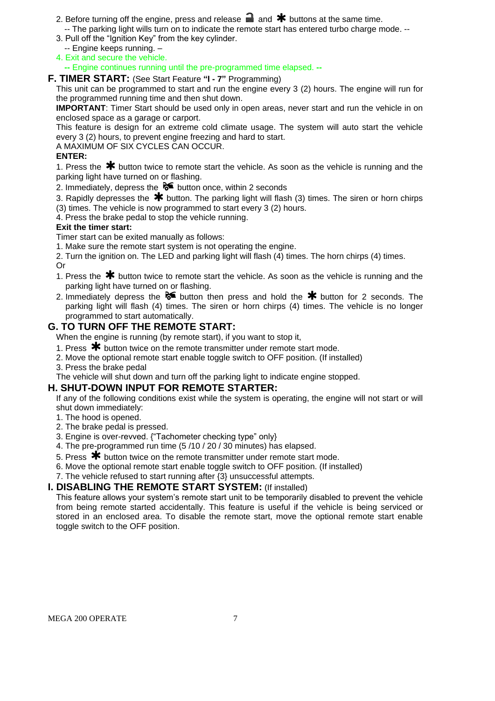- 2. Before turning off the engine, press and release  $\blacksquare$  and  $\blacktriangleright$  buttons at the same time. -- The parking light wills turn on to indicate the remote start has entered turbo charge mode. --
- 3. Pull off the "Ignition Key" from the key cylinder.
- -- Engine keeps running. –
- 4. Exit and secure the vehicle.

**--** Engine continues running until the pre-programmed time elapsed. **--**

#### **F. TIMER START:** (See Start Feature **"I - 7"** Programming)

This unit can be programmed to start and run the engine every 3 (2) hours. The engine will run for the programmed running time and then shut down.

**IMPORTANT**: Timer Start should be used only in open areas, never start and run the vehicle in on enclosed space as a garage or carport.

This feature is design for an extreme cold climate usage. The system will auto start the vehicle every 3 (2) hours, to prevent engine freezing and hard to start.

A MAXIMUM OF SIX CYCLES CAN OCCUR.

#### **ENTER:**

1. Press the  $*$  button twice to remote start the vehicle. As soon as the vehicle is running and the parking light have turned on or flashing.

2. Immediately, depress the  $\delta$  button once, within 2 seconds

3. Rapidly depresses the  $*$  button. The parking light will flash (3) times. The siren or horn chirps (3) times. The vehicle is now programmed to start every 3 (2) hours.

4. Press the brake pedal to stop the vehicle running.

#### **Exit the timer start:**

Timer start can be exited manually as follows:

1. Make sure the remote start system is not operating the engine.

2. Turn the ignition on. The LED and parking light will flash (4) times. The horn chirps (4) times. Or

- 1. Press the  $*$  button twice to remote start the vehicle. As soon as the vehicle is running and the parking light have turned on or flashing.
- 2. Immediately depress the  $\delta$  button then press and hold the  $*$  button for 2 seconds. The parking light will flash (4) times. The siren or horn chirps (4) times. The vehicle is no longer programmed to start automatically.

#### **G. TO TURN OFF THE REMOTE START:**

When the engine is running (by remote start), if you want to stop it,

- 1. Press  $\bigstar$  button twice on the remote transmitter under remote start mode.
- 2. Move the optional remote start enable toggle switch to OFF position. (If installed)
- 3. Press the brake pedal

The vehicle will shut down and turn off the parking light to indicate engine stopped.

#### **H. SHUT-DOWN INPUT FOR REMOTE STARTER:**

If any of the following conditions exist while the system is operating, the engine will not start or will shut down immediately:

- 1. The hood is opened.
- 2. The brake pedal is pressed.
- 3. Engine is over-revved. {"Tachometer checking type" only}
- 4. The pre-programmed run time (5 /10 / 20 / 30 minutes) has elapsed.
- 5. Press  $\bigstar$  button twice on the remote transmitter under remote start mode.
- 6. Move the optional remote start enable toggle switch to OFF position. (If installed)
- 7. The vehicle refused to start running after {3} unsuccessful attempts.

#### **I. DISABLING THE REMOTE START SYSTEM:** (If installed)

This feature allows your system's remote start unit to be temporarily disabled to prevent the vehicle from being remote started accidentally. This feature is useful if the vehicle is being serviced or stored in an enclosed area. To disable the remote start, move the optional remote start enable toggle switch to the OFF position.